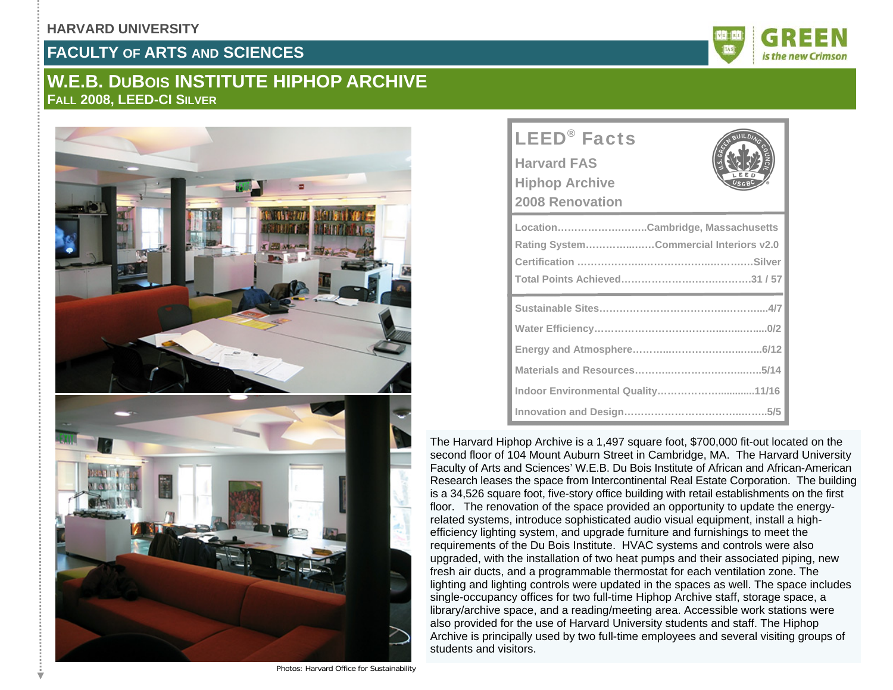#### **HARVARD UNIVERSITY**

### **FACULTY OF ARTS AND SCIENCES**

## **W.E.B. DUBOIS INSTITUTE HIPHOP ARCHIVE FALL 2008, LEED-CI SILVER**



| <b>LEED<sup>®</sup></b> Facts<br><b>Harvard FAS</b><br><b>Hiphop Archive</b><br><b>2008 Renovation</b> |
|--------------------------------------------------------------------------------------------------------|
| LocationCambridge, Massachusetts<br>Rating SystemCommercial Interiors v2.0                             |
|                                                                                                        |
|                                                                                                        |
|                                                                                                        |
|                                                                                                        |
| Indoor Environmental Quality11/16                                                                      |
|                                                                                                        |

The Harvard Hiphop Archive is a 1,497 square foot, \$700,000 fit-out located on the second floor of 104 Mount Auburn Street in Cambridge, MA. The Harvard University Faculty of Arts and Sciences' W.E.B. Du Bois Institute of African and African-American Research leases the space from Intercontinental Real Estate Corporation. The building is a 34,526 square foot, five-story office building with retail establishments on the first floor. The renovation of the space provided an opportunity to update the energyrelated systems, introduce sophisticated audio visual equipment, install a highefficiency lighting system, and upgrade furniture and furnishings to meet the requirements of the Du Bois Institute. HVAC systems and controls were also upgraded, with the installation of two heat pumps and their associated piping, new fresh air ducts, and a programmable thermostat for each ventilation zone. The lighting and lighting controls were updated in the spaces as well. The space includes single-occupancy offices for two full-time Hiphop Archive staff, storage space, a library/archive space, and a reading/meeting area. Accessible work stations were also provided for the use of Harvard University students and staff. The Hiphop Archive is principally used by two full-time employees and several visiting groups of students and visitors.

Photos: Harvard Office for Sustainability

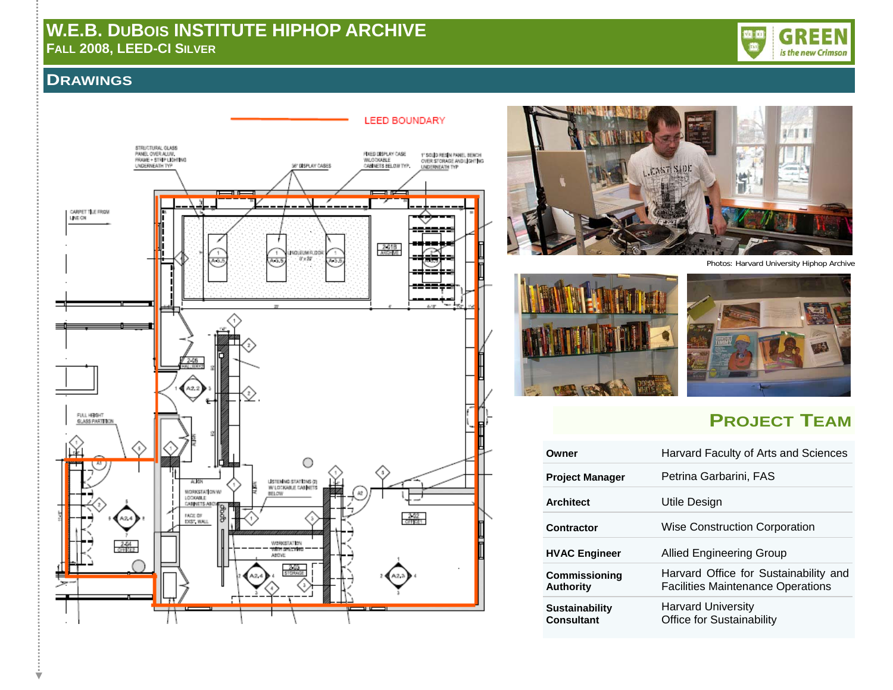

### **DRAWINGS**





Photos: Harvard University Hiphop Archive





# **PROJECT TEAM**

| Owner                                      | Harvard Faculty of Arts and Sciences                                              |
|--------------------------------------------|-----------------------------------------------------------------------------------|
| <b>Project Manager</b>                     | Petrina Garbarini, FAS                                                            |
| <b>Architect</b>                           | Utile Design                                                                      |
| Contractor                                 | Wise Construction Corporation                                                     |
| <b>HVAC Engineer</b>                       | Allied Engineering Group                                                          |
| <b>Commissioning</b><br><b>Authority</b>   | Harvard Office for Sustainability and<br><b>Facilities Maintenance Operations</b> |
| <b>Sustainability</b><br><b>Consultant</b> | <b>Harvard University</b><br><b>Office for Sustainability</b>                     |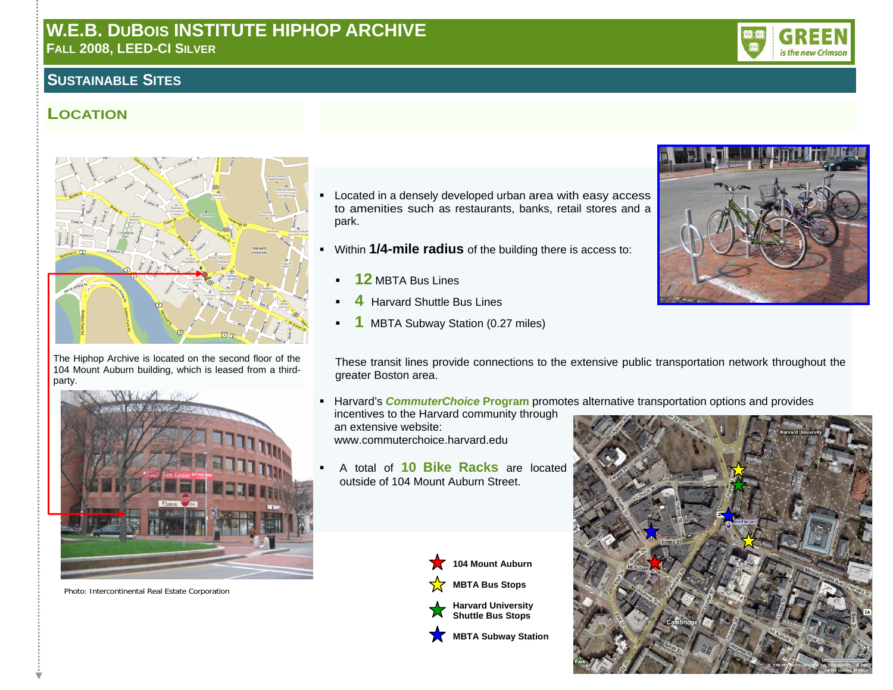### **SUSTAINABLE SITES**

## **LOCATION**



The Hiphop Archive is located on the second floor of the 104 Mount Auburn building, which is leased from a thirdparty.



Photo: Intercontinental Real Estate Corporation

- **EXECT:** Located in a densely developed urban area with easy access to amenities such as restaurants, banks, retail stores and a park.
- Within **1/4-mile radius** of the building there is access to:
	- **12** MBTA Bus Lines
	- **4** Harvard Shuttle Bus Lines
	- **1** MBTA Subway Station (0.27 miles)



These transit lines provide connections to the extensive public transportation network throughout the greater Boston area.

**Harvard's** *CommuterChoice* Program promotes alternative transportation options and provides

incentives to the Harvard community through an extensive website: www.commuterchoice.harvard.edu

 A total of **10 Bike Racks** are located outside of 104 Mount Auburn Street.



**MBTA Bus Stops** 







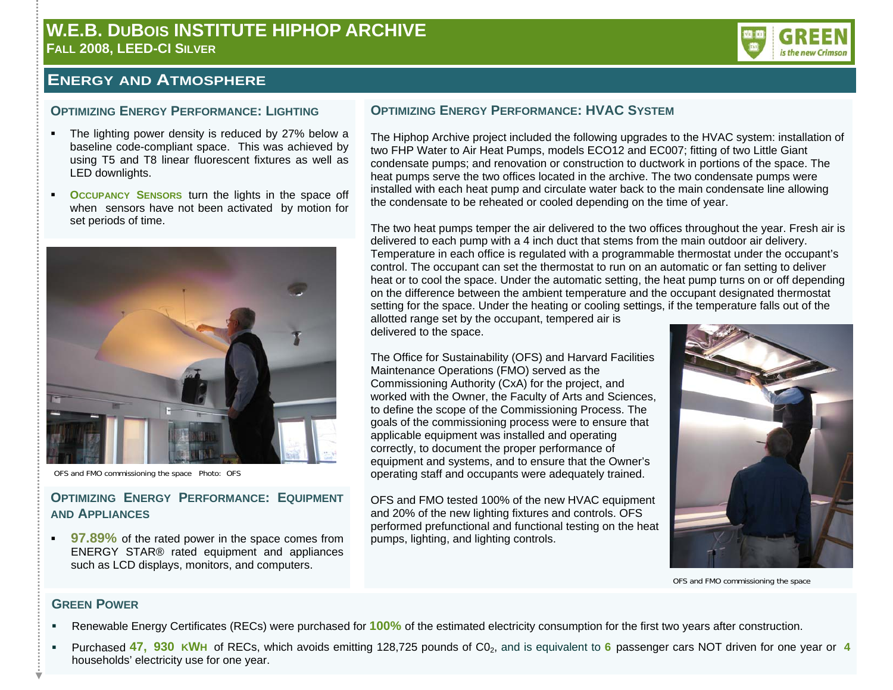

#### **ENERGY AND ATMOSPHERE**

#### **OPTIMIZING ENERGY PERFORMANCE: LIGHTING**

- The lighting power density is reduced by 27% below a baseline code-compliant space. This was achieved by using T5 and T8 linear fluorescent fixtures as well as LED downlights.
- **OCCUPANCY SENSORS** turn the lights in the space off when sensors have not been activated by motion for set periods of time.



OFS and FMO commissioning the space Photo: OFS

#### **OPTIMIZING ENERGY PERFORMANCE: EQUIPMENTAND APPLIANCES**

**97.89%** of the rated power in the space comes from ENERGY STAR® rated equipment and appliances such as LCD displays, monitors, and computers.

#### **OPTIMIZING ENERGY PERFORMANCE: HVAC SYSTEM**

The Hiphop Archive project included the following upgrades to the HVAC system: installation of two FHP Water to Air Heat Pumps, models ECO12 and EC007; fitting of two Little Giant condensate pumps; and renovation or construction to ductwork in portions of the space. The heat pumps serve the two offices located in the archive. The two condensate pumps were installed with each heat pump and circulate water back to the main condensate line allowing the condensate to be reheated or cooled depending on the time of year.

The two heat pumps temper the air delivered to the two offices throughout the year. Fresh air is delivered to each pump with a 4 inch duct that stems from the main outdoor air delivery. Temperature in each office is regulated with a programmable thermostat under the occupant's control. The occupant can set the thermostat to run on an automatic or fan setting to deliver heat or to cool the space. Under the automatic setting, the heat pump turns on or off depending on the difference between the ambient temperature and the occupant designated thermostat setting for the space. Under the heating or cooling settings, if the temperature falls out of the

allotted range set by the occupant, tempered air is delivered to the space.

The Office for Sustainability (OFS) and Harvard Facilities Maintenance Operations (FMO) served as the Commissioning Authority (CxA) for the project, and worked with the Owner, the Faculty of Arts and Sciences, to define the scope of the Commissioning Process. The goals of the commissioning process were to ensure that applicable equipment was installed and operating correctly, to document the proper performance of equipment and systems, and to ensure that the Owner's operating staff and occupants were adequately trained.

OFS and FMO tested 100% of the new HVAC equipment and 20% of the new lighting fixtures and controls. OFS performed prefunctional and functional testing on the heat pumps, lighting, and lighting controls.



OFS and FMO commissioning the space

#### **GREEN POWER**

- Renewable Energy Certificates (RECs) were purchased for **100%** of the estimated electricity consumption for the first two years after construction.
- Purchased 47, 930 KWH of RECs, which avoids emitting 128,725 pounds of C0<sub>2</sub>, and is equivalent to 6 passenger cars NOT driven for one year or 4 households' electricity use for one year.